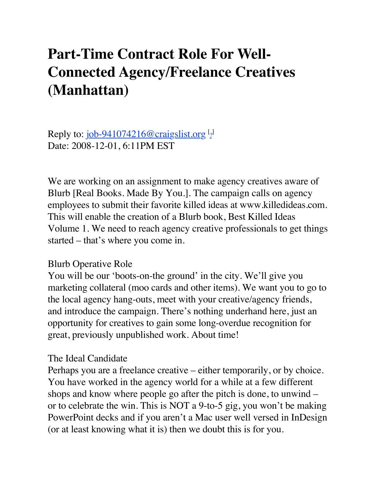## **Part-Time Contract Role For Well-Connected Agency/Freelance Creatives (Manhattan)**

Reply to: <u>job-941074216@craigslist.org</u> [9] Date: 2008-12-01, 6:11PM EST

We are working on an assignment to make agency creatives aware of Blurb [Real Books. Made By You.]. The campaign calls on agency employees to submit their favorite killed ideas at www.killedideas.com. This will enable the creation of a Blurb book, Best Killed Ideas Volume 1. We need to reach agency creative professionals to get things started – that's where you come in.

## Blurb Operative Role

You will be our 'boots-on-the ground' in the city. We'll give you marketing collateral (moo cards and other items). We want you to go to the local agency hang-outs, meet with your creative/agency friends, and introduce the campaign. There's nothing underhand here, just an opportunity for creatives to gain some long-overdue recognition for great, previously unpublished work. About time!

## The Ideal Candidate

Perhaps you are a freelance creative – either temporarily, or by choice. You have worked in the agency world for a while at a few different shops and know where people go after the pitch is done, to unwind – or to celebrate the win. This is NOT a 9-to-5 gig, you won't be making PowerPoint decks and if you aren't a Mac user well versed in InDesign (or at least knowing what it is) then we doubt this is for you.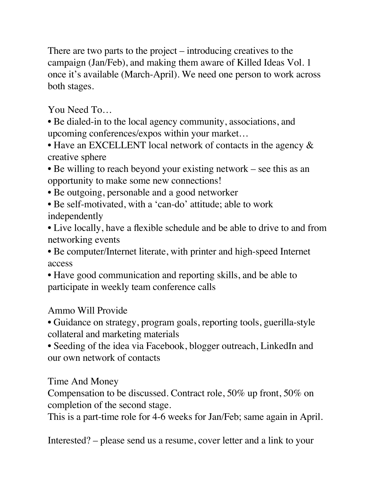There are two parts to the project – introducing creatives to the campaign (Jan/Feb), and making them aware of Killed Ideas Vol. 1 once it's available (March-April). We need one person to work across both stages.

You Need To…

• Be dialed-in to the local agency community, associations, and upcoming conferences/expos within your market…

• Have an EXCELLENT local network of contacts in the agency  $\&$ creative sphere

• Be willing to reach beyond your existing network – see this as an opportunity to make some new connections!

• Be outgoing, personable and a good networker

• Be self-motivated, with a 'can-do' attitude; able to work independently

• Live locally, have a flexible schedule and be able to drive to and from networking events

• Be computer/Internet literate, with printer and high-speed Internet access

• Have good communication and reporting skills, and be able to participate in weekly team conference calls

Ammo Will Provide

• Guidance on strategy, program goals, reporting tools, guerilla-style collateral and marketing materials

• Seeding of the idea via Facebook, blogger outreach, LinkedIn and our own network of contacts

Time And Money

Compensation to be discussed. Contract role, 50% up front, 50% on completion of the second stage.

This is a part-time role for 4-6 weeks for Jan/Feb; same again in April.

Interested? – please send us a resume, cover letter and a link to your